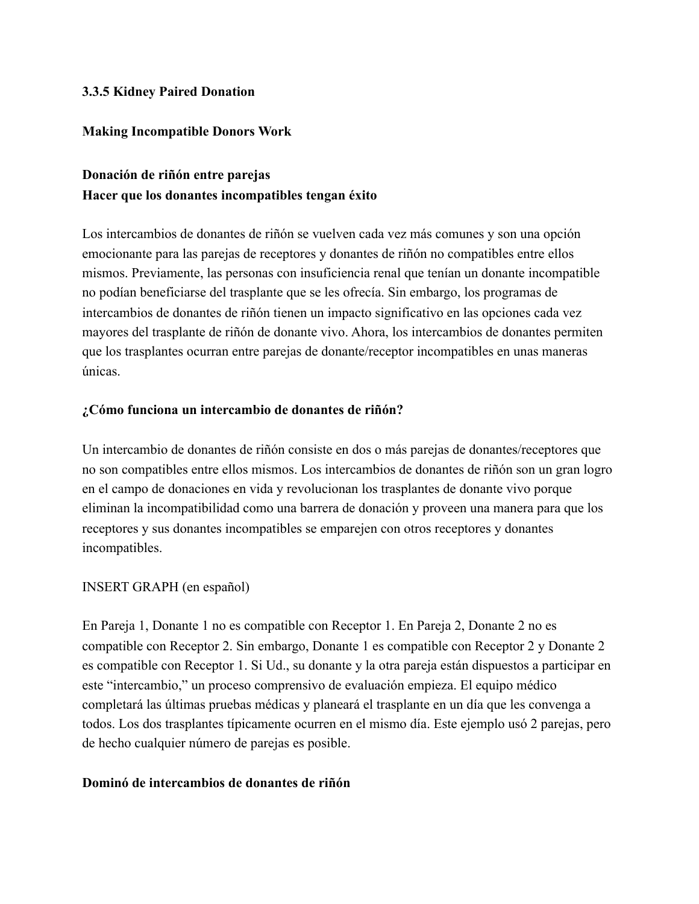#### **3.3.5 Kidney Paired Donation**

#### **Making Incompatible Donors Work**

### **Donación de riñón entre parejas Hacer que los donantes incompatibles tengan éxito**

Los intercambios de donantes de riñón se vuelven cada vez más comunes y son una opción emocionante para las parejas de receptores y donantes de riñón no compatibles entre ellos mismos. Previamente, las personas con insuficiencia renal que tenían un donante incompatible no podían beneficiarse del trasplante que se les ofrecía. Sin embargo, los programas de intercambios de donantes de riñón tienen un impacto significativo en las opciones cada vez mayores del trasplante de riñón de donante vivo. Ahora, los intercambios de donantes permiten que los trasplantes ocurran entre parejas de donante/receptor incompatibles en unas maneras únicas.

#### **¿Cómo funciona un intercambio de donantes de riñón?**

Un intercambio de donantes de riñón consiste en dos o más parejas de donantes/receptores que no son compatibles entre ellos mismos. Los intercambios de donantes de riñón son un gran logro en el campo de donaciones en vida y revolucionan los trasplantes de donante vivo porque eliminan la incompatibilidad como una barrera de donación y proveen una manera para que los receptores y sus donantes incompatibles se emparejen con otros receptores y donantes incompatibles.

#### INSERT GRAPH (en español)

En Pareja 1, Donante 1 no es compatible con Receptor 1. En Pareja 2, Donante 2 no es compatible con Receptor 2. Sin embargo, Donante 1 es compatible con Receptor 2 y Donante 2 es compatible con Receptor 1. Si Ud., su donante y la otra pareja están dispuestos a participar en este "intercambio," un proceso comprensivo de evaluación empieza. El equipo médico completará las últimas pruebas médicas y planeará el trasplante en un día que les convenga a todos. Los dos trasplantes típicamente ocurren en el mismo día. Este ejemplo usó 2 parejas, pero de hecho cualquier número de parejas es posible.

#### **Dominó de intercambios de donantes de riñón**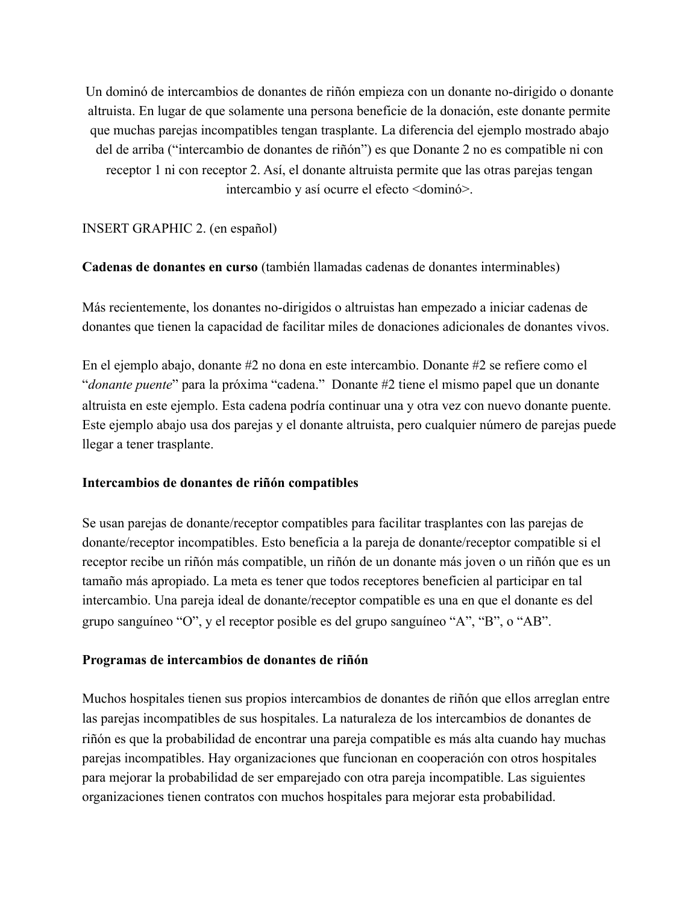Un dominó de intercambios de donantes de riñón empieza con un donante no-dirigido o donante altruista. En lugar de que solamente una persona beneficie de la donación, este donante permite que muchas parejas incompatibles tengan trasplante. La diferencia del ejemplo mostrado abajo del de arriba ("intercambio de donantes de riñón") es que Donante 2 no es compatible ni con receptor 1 ni con receptor 2. Así, el donante altruista permite que las otras parejas tengan intercambio y así ocurre el efecto <dominó>.

#### INSERT GRAPHIC 2. (en español)

#### **Cadenas de donantes en curso** (también llamadas cadenas de donantes interminables)

Más recientemente, los donantes no-dirigidos o altruistas han empezado a iniciar cadenas de donantes que tienen la capacidad de facilitar miles de donaciones adicionales de donantes vivos.

En el ejemplo abajo, donante #2 no dona en este intercambio. Donante #2 se refiere como el "*donante puente*" para la próxima "cadena." Donante #2 tiene el mismo papel que un donante altruista en este ejemplo. Esta cadena podría continuar una y otra vez con nuevo donante puente. Este ejemplo abajo usa dos parejas y el donante altruista, pero cualquier número de parejas puede llegar a tener trasplante.

#### **Intercambios de donantes de riñón compatibles**

Se usan parejas de donante/receptor compatibles para facilitar trasplantes con las parejas de donante/receptor incompatibles. Esto beneficia a la pareja de donante/receptor compatible si el receptor recibe un riñón más compatible, un riñón de un donante más joven o un riñón que es un tamaño más apropiado. La meta es tener que todos receptores beneficien al participar en tal intercambio. Una pareja ideal de donante/receptor compatible es una en que el donante es del grupo sanguíneo "O", y el receptor posible es del grupo sanguíneo "A", "B", o "AB".

#### **Programas de intercambios de donantes de riñón**

Muchos hospitales tienen sus propios intercambios de donantes de riñón que ellos arreglan entre las parejas incompatibles de sus hospitales. La naturaleza de los intercambios de donantes de riñón es que la probabilidad de encontrar una pareja compatible es más alta cuando hay muchas parejas incompatibles. Hay organizaciones que funcionan en cooperación con otros hospitales para mejorar la probabilidad de ser emparejado con otra pareja incompatible. Las siguientes organizaciones tienen contratos con muchos hospitales para mejorar esta probabilidad.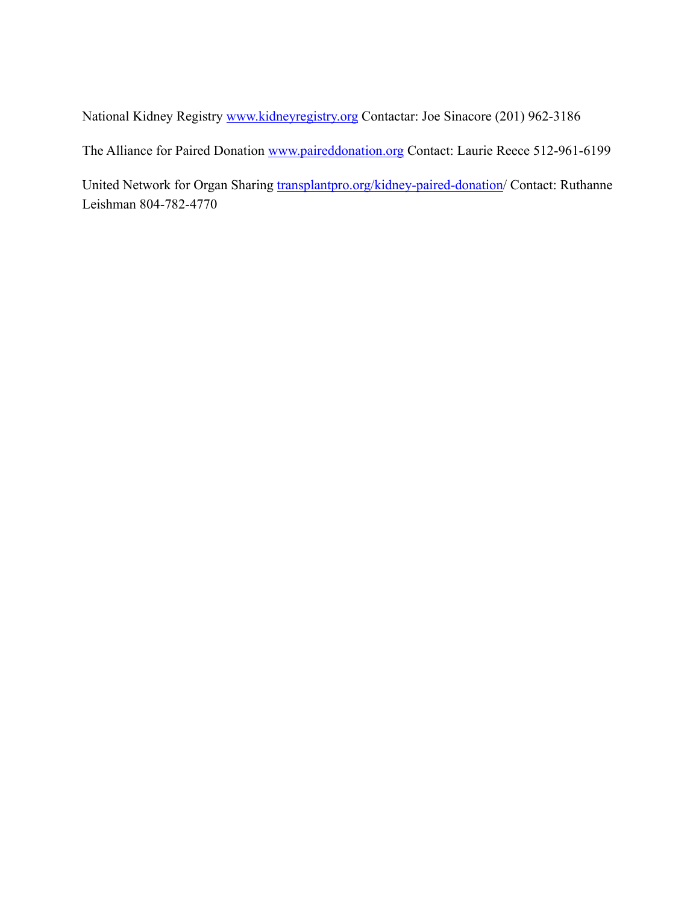National Kidney Registry www.kidneyregistry.org Contactar: Joe Sinacore (201) 962-3186

The Alliance for Paired Donation www.paireddonation.org Contact: Laurie Reece 512-961-6199

United Network for Organ Sharing transplantpro.org/kidney-paired-donation/ Contact: Ruthanne Leishman 804-782-4770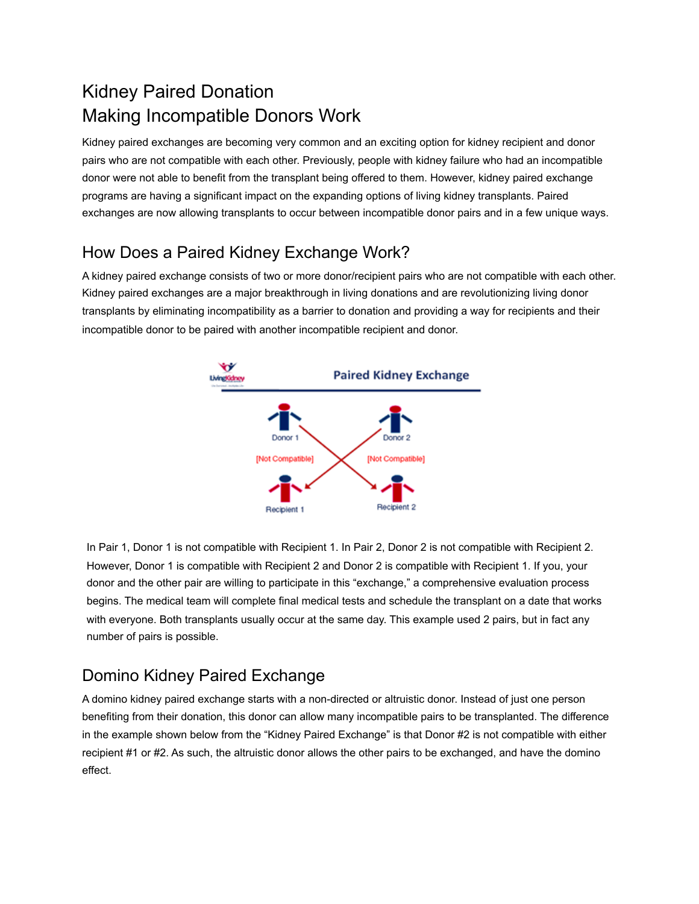# Kidney Paired Donation Making Incompatible Donors Work

Kidney paired exchanges are becoming very common and an exciting option for kidney recipient and donor pairs who are not compatible with each other. Previously, people with kidney failure who had an incompatible donor were not able to benefit from the transplant being offered to them. However, kidney paired exchange programs are having a significant impact on the expanding options of living kidney transplants. Paired exchanges are now allowing transplants to occur between incompatible donor pairs and in a few unique ways.

## How Does a Paired Kidney Exchange Work?

A kidney paired exchange consists of two or more donor/recipient pairs who are not compatible with each other. Kidney paired exchanges are a major breakthrough in living donations and are revolutionizing living donor transplants by eliminating incompatibility as a barrier to donation and providing a way for recipients and their incompatible donor to be paired with another incompatible recipient and donor.



In Pair 1, Donor 1 is not compatible with Recipient 1. In Pair 2, Donor 2 is not compatible with Recipient 2. However, Donor 1 is compatible with Recipient 2 and Donor 2 is compatible with Recipient 1. If you, your donor and the other pair are willing to participate in this "exchange," a comprehensive evaluation process begins. The medical team will complete final medical tests and schedule the transplant on a date that works with everyone. Both transplants usually occur at the same day. This example used 2 pairs, but in fact any number of pairs is possible.

### Domino Kidney Paired Exchange

A domino kidney paired exchange starts with a non-directed or altruistic donor. Instead of just one person benefiting from their donation, this donor can allow many incompatible pairs to be transplanted. The difference in the example shown below from the "Kidney Paired Exchange" is that Donor #2 is not compatible with either recipient #1 or #2. As such, the altruistic donor allows the other pairs to be exchanged, and have the domino effect.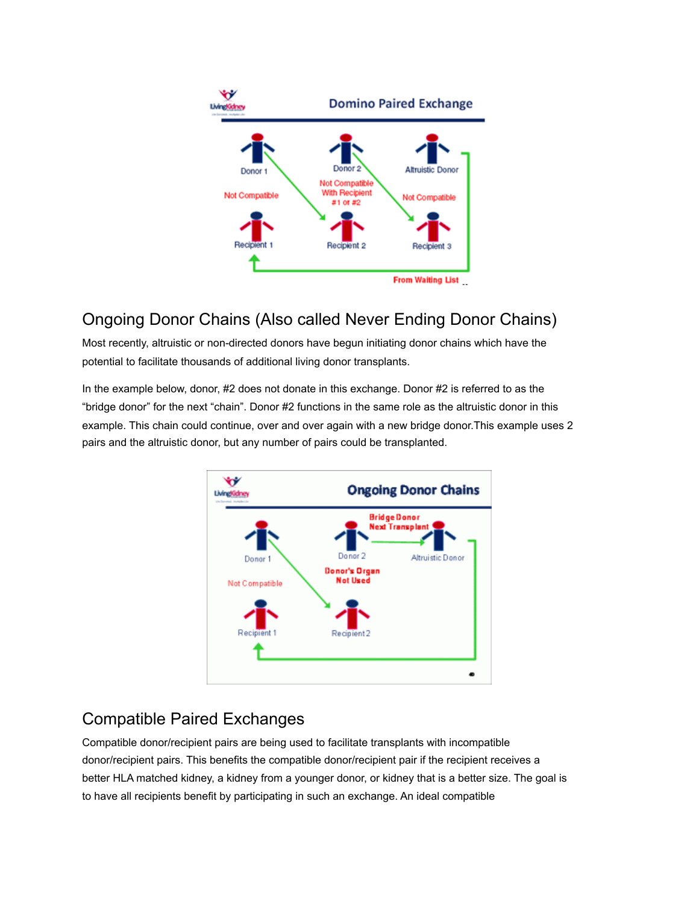

## Ongoing Donor Chains (Also called Never Ending Donor Chains)

Most recently, altruistic or non-directed donors have begun initiating donor chains which have the potential to facilitate thousands of additional living donor transplants.

In the example below, donor, #2 does not donate in this exchange. Donor #2 is referred to as the "bridge donor" for the next "chain". Donor #2 functions in the same role as the altruistic donor in this example. This chain could continue, over and over again with a new bridge donor.This example uses 2 pairs and the altruistic donor, but any number of pairs could be transplanted.



## Compatible Paired Exchanges

Compatible donor/recipient pairs are being used to facilitate transplants with incompatible donor/recipient pairs. This benefits the compatible donor/recipient pair if the recipient receives a better HLA matched kidney, a kidney from a younger donor, or kidney that is a better size. The goal is to have all recipients benefit by participating in such an exchange. An ideal compatible